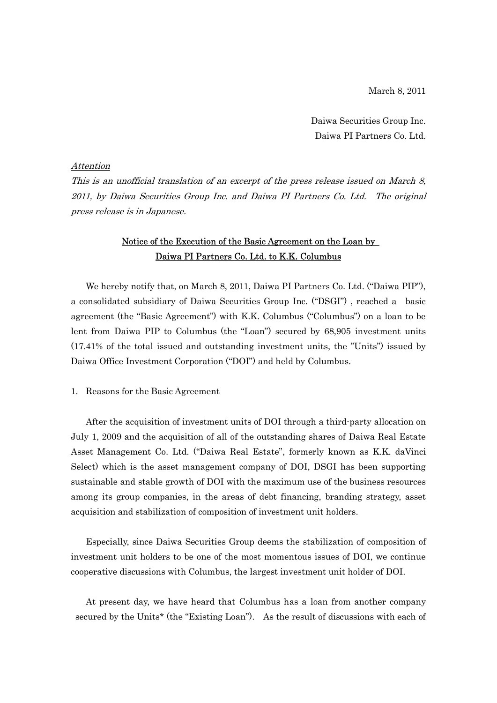March 8, 2011

Daiwa Securities Group Inc. Daiwa PI Partners Co. Ltd.

## Attention

This is an unofficial translation of an excerpt of the press release issued on March 8, 2011, by Daiwa Securities Group Inc. and Daiwa PI Partners Co. Ltd. The original press release is in Japanese.

# Notice of the Execution of the Basic Agreement on the Loan by Daiwa PI Partners Co. Ltd. to K.K. Columbus

We hereby notify that, on March 8, 2011, Daiwa PI Partners Co. Ltd. ("Daiwa PIP"), a consolidated subsidiary of Daiwa Securities Group Inc. ("DSGI") , reached a basic agreement (the "Basic Agreement") with K.K. Columbus ("Columbus") on a loan to be lent from Daiwa PIP to Columbus (the "Loan") secured by 68,905 investment units (17.41% of the total issued and outstanding investment units, the "Units") issued by Daiwa Office Investment Corporation ("DOI") and held by Columbus.

## 1. Reasons for the Basic Agreement

After the acquisition of investment units of DOI through a third-party allocation on July 1, 2009 and the acquisition of all of the outstanding shares of Daiwa Real Estate Asset Management Co. Ltd. ("Daiwa Real Estate", formerly known as K.K. daVinci Select) which is the asset management company of DOI, DSGI has been supporting sustainable and stable growth of DOI with the maximum use of the business resources among its group companies, in the areas of debt financing, branding strategy, asset acquisition and stabilization of composition of investment unit holders.

Especially, since Daiwa Securities Group deems the stabilization of composition of investment unit holders to be one of the most momentous issues of DOI, we continue cooperative discussions with Columbus, the largest investment unit holder of DOI.

At present day, we have heard that Columbus has a loan from another company secured by the Units\* (the "Existing Loan"). As the result of discussions with each of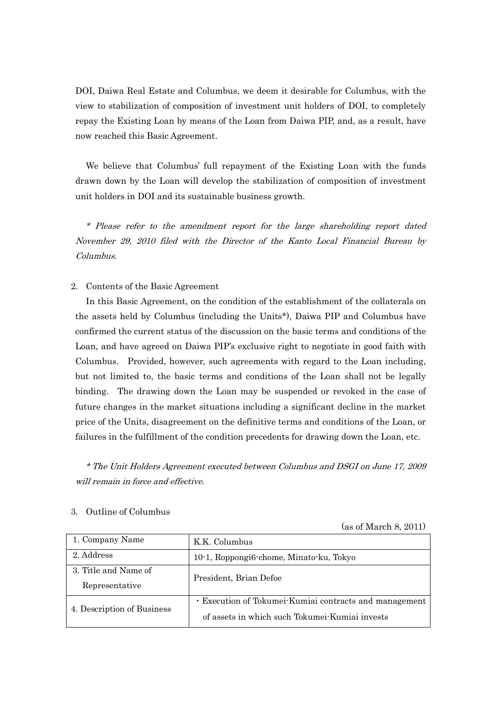DOI, Daiwa Real Estate and Columbus, we deem it desirable for Columbus, with the view to stabilization of composition of investment unit holders of DOI, to completely repay the Existing Loan by means of the Loan from Daiwa PIP, and, as a result, have now reached this Basic Agreement.

We believe that Columbus' full repayment of the Existing Loan with the funds drawn down by the Loan will develop the stabilization of composition of investment unit holders in DOI and its sustainable business growth.

\* Please refer to the amendment report for the large shareholding report dated November 29, 2010 filed with the Director of the Kanto Local Financial Bureau by Columbus.

## 2. Contents of the Basic Agreement

In this Basic Agreement, on the condition of the establishment of the collaterals on the assets held by Columbus (including the Units\*), Daiwa PIP and Columbus have confirmed the current status of the discussion on the basic terms and conditions of the Loan, and have agreed on Daiwa PIP's exclusive right to negotiate in good faith with Columbus. Provided, however, such agreements with regard to the Loan including, but not limited to, the basic terms and conditions of the Loan shall not be legally binding. The drawing down the Loan may be suspended or revoked in the case of future changes in the market situations including a significant decline in the market price of the Units, disagreement on the definitive terms and conditions of the Loan, or failures in the fulfillment of the condition precedents for drawing down the Loan, etc.

\* The Unit Holders Agreement executed between Columbus and DSGI on June 17, 2009 will remain in force and effective.

| 1. Company Name            | K.K. Columbus                                          |
|----------------------------|--------------------------------------------------------|
| 2. Address                 | 10-1, Roppongi6-chome, Minato-ku, Tokyo                |
| 3. Title and Name of       | President, Brian Defoe                                 |
| Representative             |                                                        |
| 4. Description of Business | • Execution of Tokumei-Kumiai contracts and management |
|                            | of assets in which such Tokumei-Kumiai invests         |

### 3. Outline of Columbus

(as of March 8, 2011)